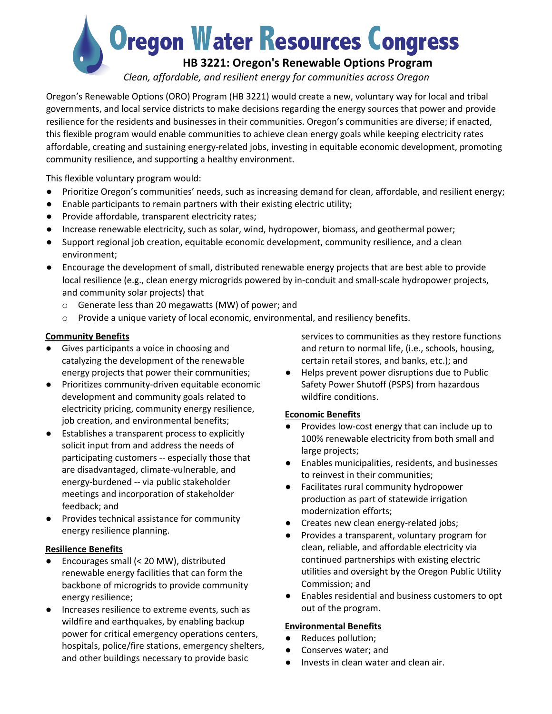**Oregon Water Resources Congress** 

# **HB 3221: Oregon's Renewable Options Program**

*Clean, affordable, and resilient energy for communities across Oregon*

Oregon's Renewable Options (ORO) Program (HB 3221) would create a new, voluntary way for local and tribal governments, and local service districts to make decisions regarding the energy sources that power and provide resilience for the residents and businesses in their communities. Oregon's communities are diverse; if enacted, this flexible program would enable communities to achieve clean energy goals while keeping electricity rates affordable, creating and sustaining energy-related jobs, investing in equitable economic development, promoting community resilience, and supporting a healthy environment.

This flexible voluntary program would:

- Prioritize Oregon's communities' needs, such as increasing demand for clean, affordable, and resilient energy;
- Enable participants to remain partners with their existing electric utility;
- Provide affordable, transparent electricity rates;
- Increase renewable electricity, such as solar, wind, hydropower, biomass, and geothermal power;
- Support regional job creation, equitable economic development, community resilience, and a clean environment;
- Encourage the development of small, distributed renewable energy projects that are best able to provide local resilience (e.g., clean energy microgrids powered by in-conduit and small-scale hydropower projects, and community solar projects) that
	- o Generate less than 20 megawatts (MW) of power; and
	- $\circ$  Provide a unique variety of local economic, environmental, and resiliency benefits.

## **Community Benefits**

- Gives participants a voice in choosing and catalyzing the development of the renewable energy projects that power their communities;
- Prioritizes community-driven equitable economic development and community goals related to electricity pricing, community energy resilience, job creation, and environmental benefits;
- Establishes a transparent process to explicitly solicit input from and address the needs of participating customers -- especially those that are disadvantaged, climate-vulnerable, and energy-burdened -- via public stakeholder meetings and incorporation of stakeholder feedback; and
- Provides technical assistance for community energy resilience planning.

## **Resilience Benefits**

- Encourages small ( $<$  20 MW), distributed renewable energy facilities that can form the backbone of microgrids to provide community energy resilience;
- Increases resilience to extreme events, such as wildfire and earthquakes, by enabling backup power for critical emergency operations centers, hospitals, police/fire stations, emergency shelters, and other buildings necessary to provide basic

services to communities as they restore functions and return to normal life, (i.e., schools, housing, certain retail stores, and banks, etc.); and

● Helps prevent power disruptions due to Public Safety Power Shutoff (PSPS) from hazardous wildfire conditions.

# **Economic Benefits**

- Provides low-cost energy that can include up to 100% renewable electricity from both small and large projects;
- Enables municipalities, residents, and businesses to reinvest in their communities;
- Facilitates rural community hydropower production as part of statewide irrigation modernization efforts;
- Creates new clean energy-related jobs;
- Provides a transparent, voluntary program for clean, reliable, and affordable electricity via continued partnerships with existing electric utilities and oversight by the Oregon Public Utility Commission; and
- Enables residential and business customers to opt out of the program.

## **Environmental Benefits**

- Reduces pollution;
- Conserves water; and
- Invests in clean water and clean air.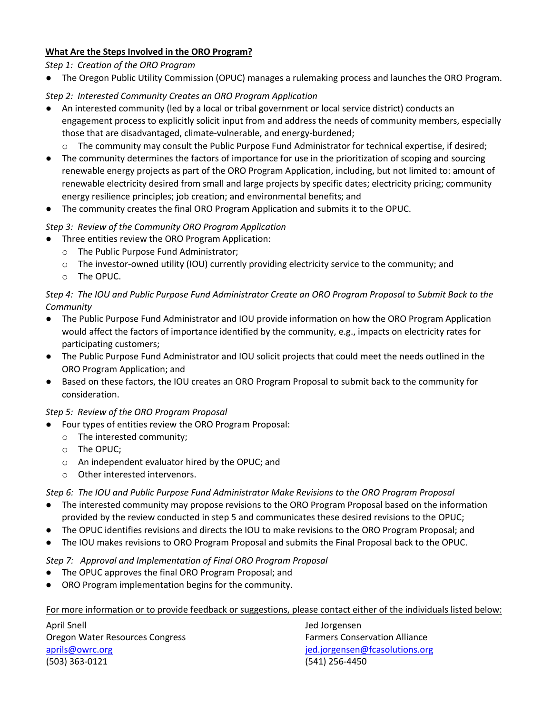#### **What Are the Steps Involved in the ORO Program?**

*Step 1: Creation of the ORO Program*

● The Oregon Public Utility Commission (OPUC) manages a rulemaking process and launches the ORO Program.

## *Step 2: Interested Community Creates an ORO Program Application*

- An interested community (led by a local or tribal government or local service district) conducts an engagement process to explicitly solicit input from and address the needs of community members, especially those that are disadvantaged, climate-vulnerable, and energy-burdened;
	- o The community may consult the Public Purpose Fund Administrator for technical expertise, if desired;
- The community determines the factors of importance for use in the prioritization of scoping and sourcing renewable energy projects as part of the ORO Program Application, including, but not limited to: amount of renewable electricity desired from small and large projects by specific dates; electricity pricing; community energy resilience principles; job creation; and environmental benefits; and
- The community creates the final ORO Program Application and submits it to the OPUC.

## *Step 3: Review of the Community ORO Program Application*

- Three entities review the ORO Program Application:
	- o The Public Purpose Fund Administrator;
	- $\circ$  The investor-owned utility (IOU) currently providing electricity service to the community; and
	- o The OPUC.

## *Step 4: The IOU and Public Purpose Fund Administrator Create an ORO Program Proposal to Submit Back to the Community*

- The Public Purpose Fund Administrator and IOU provide information on how the ORO Program Application would affect the factors of importance identified by the community, e.g., impacts on electricity rates for participating customers;
- The Public Purpose Fund Administrator and IOU solicit projects that could meet the needs outlined in the ORO Program Application; and
- Based on these factors, the IOU creates an ORO Program Proposal to submit back to the community for consideration.

### *Step 5: Review of the ORO Program Proposal*

- Four types of entities review the ORO Program Proposal:
	- o The interested community;
	- o The OPUC;
	- o An independent evaluator hired by the OPUC; and
	- o Other interested intervenors.

*Step 6: The IOU and Public Purpose Fund Administrator Make Revisions to the ORO Program Proposal*

- The interested community may propose revisions to the ORO Program Proposal based on the information provided by the review conducted in step 5 and communicates these desired revisions to the OPUC;
- The OPUC identifies revisions and directs the IOU to make revisions to the ORO Program Proposal; and
- The IOU makes revisions to ORO Program Proposal and submits the Final Proposal back to the OPUC.

### *Step 7: Approval and Implementation of Final ORO Program Proposal*

- The OPUC approves the final ORO Program Proposal; and
- ORO Program implementation begins for the community.

For more information or to provide feedback or suggestions, please contact either of the individuals listed below:

April Snell Jed Jorgensen Oregon Water Resources Congress Farmers Conservation Alliance aprils@owrc.org in the state of the state of the state of the state of the state of the state of the state of t (503) 363-0121 (541) 256-4450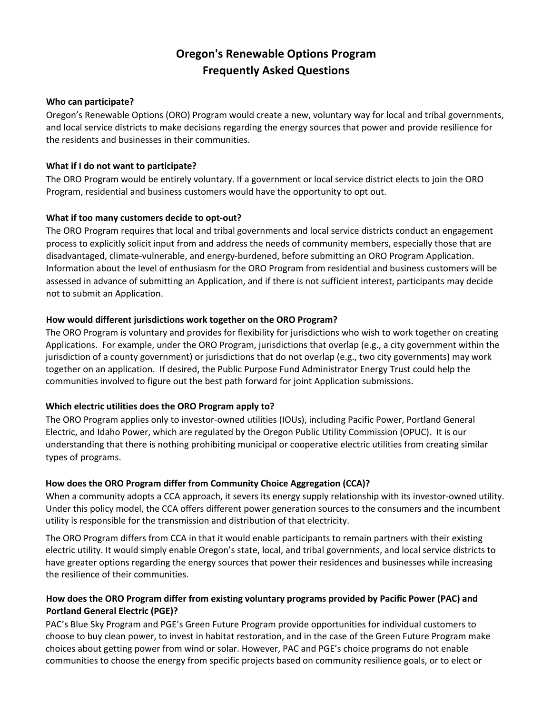# **Oregon's Renewable Options Program Frequently Asked Questions**

#### **Who can participate?**

Oregon's Renewable Options (ORO) Program would create a new, voluntary way for local and tribal governments, and local service districts to make decisions regarding the energy sources that power and provide resilience for the residents and businesses in their communities.

#### **What if I do not want to participate?**

The ORO Program would be entirely voluntary. If a government or local service district elects to join the ORO Program, residential and business customers would have the opportunity to opt out.

### **What if too many customers decide to opt-out?**

The ORO Program requires that local and tribal governments and local service districts conduct an engagement process to explicitly solicit input from and address the needs of community members, especially those that are disadvantaged, climate-vulnerable, and energy-burdened, before submitting an ORO Program Application. Information about the level of enthusiasm for the ORO Program from residential and business customers will be assessed in advance of submitting an Application, and if there is not sufficient interest, participants may decide not to submit an Application.

#### **How would different jurisdictions work together on the ORO Program?**

The ORO Program is voluntary and provides for flexibility for jurisdictions who wish to work together on creating Applications. For example, under the ORO Program, jurisdictions that overlap (e.g., a city government within the jurisdiction of a county government) or jurisdictions that do not overlap (e.g., two city governments) may work together on an application. If desired, the Public Purpose Fund Administrator Energy Trust could help the communities involved to figure out the best path forward for joint Application submissions.

### **Which electric utilities does the ORO Program apply to?**

The ORO Program applies only to investor-owned utilities (IOUs), including Pacific Power, Portland General Electric, and Idaho Power, which are regulated by the Oregon Public Utility Commission (OPUC). It is our understanding that there is nothing prohibiting municipal or cooperative electric utilities from creating similar types of programs.

### **How does the ORO Program differ from Community Choice Aggregation (CCA)?**

When a community adopts a CCA approach, it severs its energy supply relationship with its investor-owned utility. Under this policy model, the CCA offers different power generation sources to the consumers and the incumbent utility is responsible for the transmission and distribution of that electricity.

The ORO Program differs from CCA in that it would enable participants to remain partners with their existing electric utility. It would simply enable Oregon's state, local, and tribal governments, and local service districts to have greater options regarding the energy sources that power their residences and businesses while increasing the resilience of their communities.

### **How does the ORO Program differ from existing voluntary programs provided by Pacific Power (PAC) and Portland General Electric (PGE)?**

PAC's Blue Sky Program and PGE's Green Future Program provide opportunities for individual customers to choose to buy clean power, to invest in habitat restoration, and in the case of the Green Future Program make choices about getting power from wind or solar. However, PAC and PGE's choice programs do not enable communities to choose the energy from specific projects based on community resilience goals, or to elect or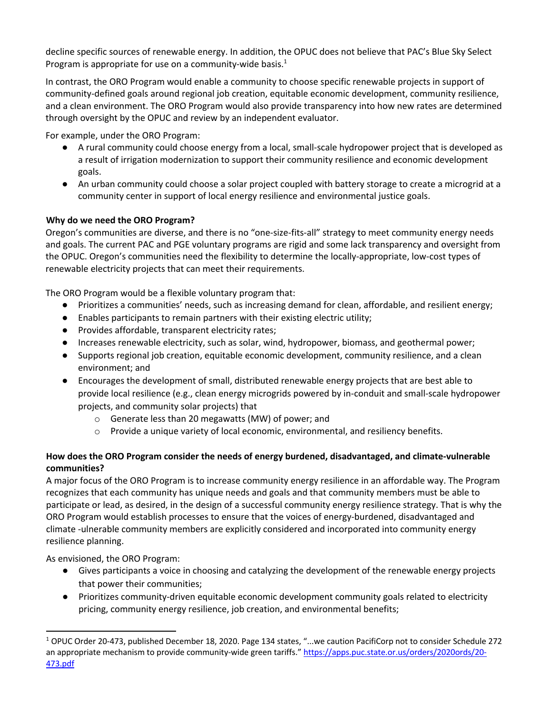decline specific sources of renewable energy. In addition, the OPUC does not believe that PAC's Blue Sky Select Program is appropriate for use on a community-wide basis.<sup>1</sup>

In contrast, the ORO Program would enable a community to choose specific renewable projects in support of community-defined goals around regional job creation, equitable economic development, community resilience, and a clean environment. The ORO Program would also provide transparency into how new rates are determined through oversight by the OPUC and review by an independent evaluator.

For example, under the ORO Program:

- A rural community could choose energy from a local, small-scale hydropower project that is developed as a result of irrigation modernization to support their community resilience and economic development goals.
- An urban community could choose a solar project coupled with battery storage to create a microgrid at a community center in support of local energy resilience and environmental justice goals.

## **Why do we need the ORO Program?**

Oregon's communities are diverse, and there is no "one-size-fits-all" strategy to meet community energy needs and goals. The current PAC and PGE voluntary programs are rigid and some lack transparency and oversight from the OPUC. Oregon's communities need the flexibility to determine the locally-appropriate, low-cost types of renewable electricity projects that can meet their requirements.

The ORO Program would be a flexible voluntary program that:

- Prioritizes a communities' needs, such as increasing demand for clean, affordable, and resilient energy;
- Enables participants to remain partners with their existing electric utility;
- Provides affordable, transparent electricity rates;
- Increases renewable electricity, such as solar, wind, hydropower, biomass, and geothermal power;
- Supports regional job creation, equitable economic development, community resilience, and a clean environment; and
- Encourages the development of small, distributed renewable energy projects that are best able to provide local resilience (e.g., clean energy microgrids powered by in-conduit and small-scale hydropower projects, and community solar projects) that
	- o Generate less than 20 megawatts (MW) of power; and
	- o Provide a unique variety of local economic, environmental, and resiliency benefits.

## **How does the ORO Program consider the needs of energy burdened, disadvantaged, and climate-vulnerable communities?**

A major focus of the ORO Program is to increase community energy resilience in an affordable way. The Program recognizes that each community has unique needs and goals and that community members must be able to participate or lead, as desired, in the design of a successful community energy resilience strategy. That is why the ORO Program would establish processes to ensure that the voices of energy-burdened, disadvantaged and climate -ulnerable community members are explicitly considered and incorporated into community energy resilience planning.

As envisioned, the ORO Program:

- Gives participants a voice in choosing and catalyzing the development of the renewable energy projects that power their communities;
- Prioritizes community-driven equitable economic development community goals related to electricity pricing, community energy resilience, job creation, and environmental benefits;

 $1$  OPUC Order 20-473, published December 18, 2020. Page 134 states, "...we caution PacifiCorp not to consider Schedule 272 an appropriate mechanism to provide community-wide green tariffs." https://apps.puc.state.or.us/orders/2020ords/20- 473.pdf